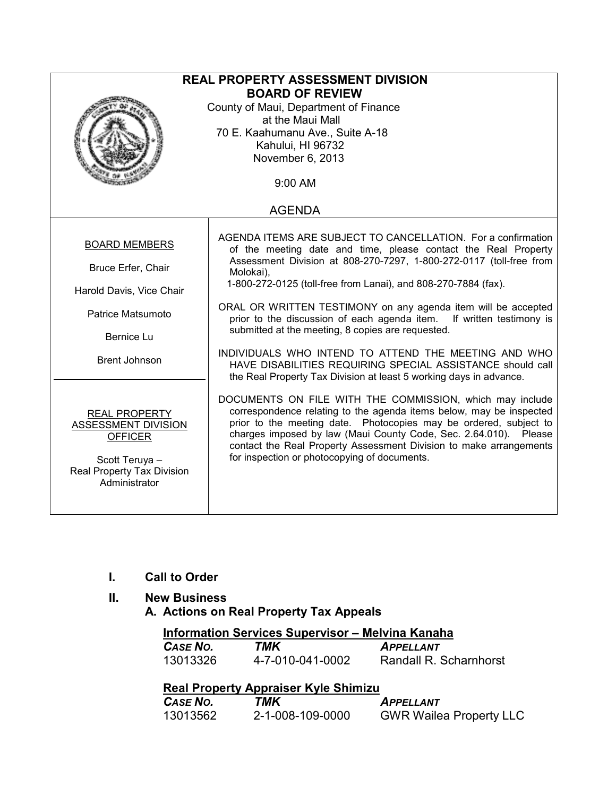| <b>REAL PROPERTY ASSESSMENT DIVISION</b><br><b>BOARD OF REVIEW</b><br>County of Maui, Department of Finance<br>at the Maui Mall<br>70 E. Kaahumanu Ave., Suite A-18<br>Kahului, HI 96732<br>November 6, 2013<br>$9:00$ AM |                                                                                                                                                                                                                                                                                                                                                                                                                                                                                                                                                                                                                                                                                |  |  |  |
|---------------------------------------------------------------------------------------------------------------------------------------------------------------------------------------------------------------------------|--------------------------------------------------------------------------------------------------------------------------------------------------------------------------------------------------------------------------------------------------------------------------------------------------------------------------------------------------------------------------------------------------------------------------------------------------------------------------------------------------------------------------------------------------------------------------------------------------------------------------------------------------------------------------------|--|--|--|
| <b>AGENDA</b>                                                                                                                                                                                                             |                                                                                                                                                                                                                                                                                                                                                                                                                                                                                                                                                                                                                                                                                |  |  |  |
| <b>BOARD MEMBERS</b><br>Bruce Erfer, Chair<br>Harold Davis, Vice Chair<br>Patrice Matsumoto<br>Bernice Lu<br><b>Brent Johnson</b>                                                                                         | AGENDA ITEMS ARE SUBJECT TO CANCELLATION. For a confirmation<br>of the meeting date and time, please contact the Real Property<br>Assessment Division at 808-270-7297, 1-800-272-0117 (toll-free from<br>Molokai),<br>1-800-272-0125 (toll-free from Lanai), and 808-270-7884 (fax).<br>ORAL OR WRITTEN TESTIMONY on any agenda item will be accepted<br>prior to the discussion of each agenda item. If written testimony is<br>submitted at the meeting, 8 copies are requested.<br>INDIVIDUALS WHO INTEND TO ATTEND THE MEETING AND WHO<br>HAVE DISABILITIES REQUIRING SPECIAL ASSISTANCE should call<br>the Real Property Tax Division at least 5 working days in advance. |  |  |  |
| <b>REAL PROPERTY</b><br><b>ASSESSMENT DIVISION</b><br><b>OFFICER</b><br>Scott Teruya -<br>Real Property Tax Division<br>Administrator                                                                                     | DOCUMENTS ON FILE WITH THE COMMISSION, which may include<br>correspondence relating to the agenda items below, may be inspected<br>prior to the meeting date. Photocopies may be ordered, subject to<br>charges imposed by law (Maui County Code, Sec. 2.64.010). Please<br>contact the Real Property Assessment Division to make arrangements<br>for inspection or photocopying of documents.                                                                                                                                                                                                                                                                                 |  |  |  |

- I. Call to Order
- II. New Business
	- A. Actions on Real Property Tax Appeals

## Information Services Supervisor – Melvina Kanaha<br>CASE NO. TMK APPELLANT

| CASE NO. | TMK              | <b>APPELLANT</b>       |
|----------|------------------|------------------------|
| 13013326 | 4-7-010-041-0002 | Randall R. Scharnhorst |

## Real Property Appraiser Kyle Shimizu

| CASE NO. | TMK              | <b>APPELLANT</b>               |
|----------|------------------|--------------------------------|
| 13013562 | 2-1-008-109-0000 | <b>GWR Wailea Property LLC</b> |